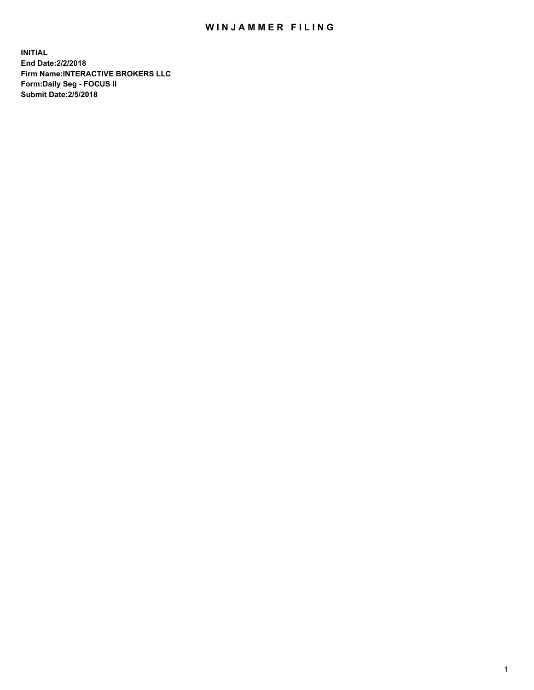## WIN JAMMER FILING

**INITIAL End Date:2/2/2018 Firm Name:INTERACTIVE BROKERS LLC Form:Daily Seg - FOCUS II Submit Date:2/5/2018**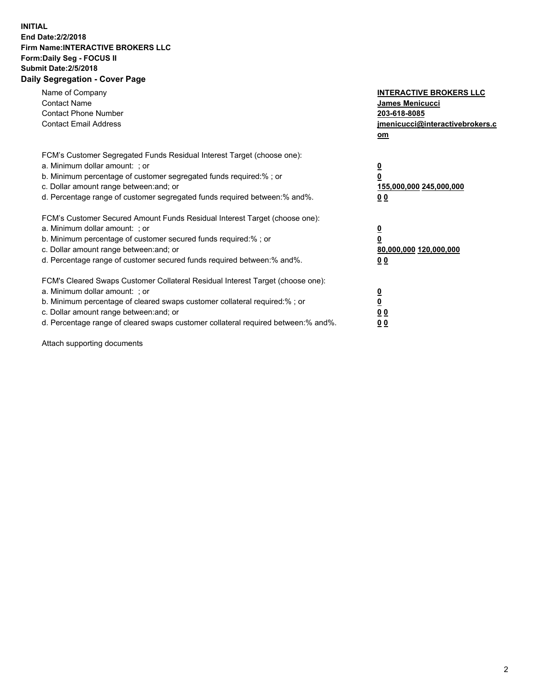## **INITIAL End Date:2/2/2018 Firm Name:INTERACTIVE BROKERS LLC Form:Daily Seg - FOCUS II Submit Date:2/5/2018 Daily Segregation - Cover Page**

| Name of Company<br><b>Contact Name</b><br><b>Contact Phone Number</b><br><b>Contact Email Address</b>                                                                                                                                                                                                                          | <b>INTERACTIVE BROKERS LLC</b><br><b>James Menicucci</b><br>203-618-8085<br>jmenicucci@interactivebrokers.c<br>om |
|--------------------------------------------------------------------------------------------------------------------------------------------------------------------------------------------------------------------------------------------------------------------------------------------------------------------------------|-------------------------------------------------------------------------------------------------------------------|
| FCM's Customer Segregated Funds Residual Interest Target (choose one):<br>a. Minimum dollar amount: ; or<br>b. Minimum percentage of customer segregated funds required:% ; or<br>c. Dollar amount range between: and; or<br>d. Percentage range of customer segregated funds required between: % and %.                       | $\overline{\mathbf{0}}$<br>0<br>155,000,000 245,000,000<br>00                                                     |
| FCM's Customer Secured Amount Funds Residual Interest Target (choose one):<br>a. Minimum dollar amount: ; or<br>b. Minimum percentage of customer secured funds required:%; or<br>c. Dollar amount range between: and; or<br>d. Percentage range of customer secured funds required between: % and %.                          | $\overline{\mathbf{0}}$<br>0<br>80,000,000 120,000,000<br>0 <sub>0</sub>                                          |
| FCM's Cleared Swaps Customer Collateral Residual Interest Target (choose one):<br>a. Minimum dollar amount: ; or<br>b. Minimum percentage of cleared swaps customer collateral required:% ; or<br>c. Dollar amount range between: and; or<br>d. Percentage range of cleared swaps customer collateral required between:% and%. | $\overline{\mathbf{0}}$<br>$\underline{\mathbf{0}}$<br>0 <sub>0</sub><br>0 <sub>0</sub>                           |

Attach supporting documents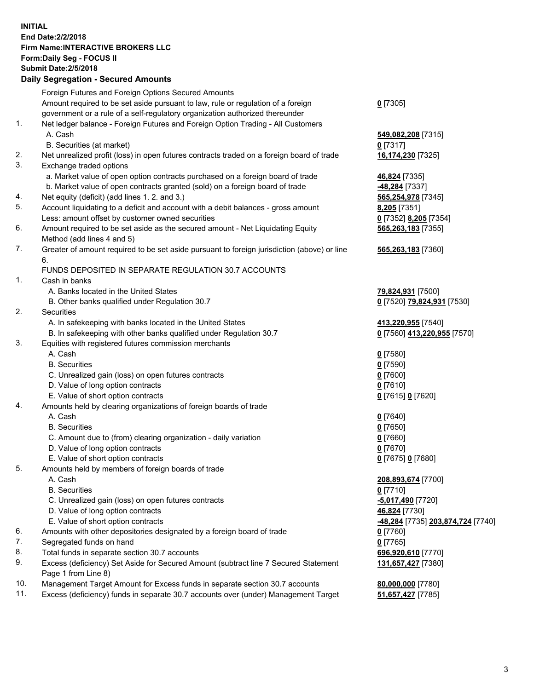## **INITIAL End Date:2/2/2018 Firm Name:INTERACTIVE BROKERS LLC Form:Daily Seg - FOCUS II Submit Date:2/5/2018 Daily Segregation - Secured Amounts**

|     | Foreign Futures and Foreign Options Secured Amounts                                                |                                                |
|-----|----------------------------------------------------------------------------------------------------|------------------------------------------------|
|     | Amount required to be set aside pursuant to law, rule or regulation of a foreign                   | $0$ [7305]                                     |
|     | government or a rule of a self-regulatory organization authorized thereunder                       |                                                |
| 1.  | Net ledger balance - Foreign Futures and Foreign Option Trading - All Customers                    |                                                |
|     | A. Cash                                                                                            | 549,082,208 [7315]                             |
|     | B. Securities (at market)                                                                          | $0$ [7317]                                     |
| 2.  | Net unrealized profit (loss) in open futures contracts traded on a foreign board of trade          | 16,174,230 [7325]                              |
| 3.  | Exchange traded options                                                                            |                                                |
|     | a. Market value of open option contracts purchased on a foreign board of trade                     | 46,824 [7335]                                  |
|     | b. Market value of open contracts granted (sold) on a foreign board of trade                       | -48,284 [7337]                                 |
| 4.  | Net equity (deficit) (add lines 1. 2. and 3.)                                                      | 565,254,978 [7345]                             |
| 5.  | Account liquidating to a deficit and account with a debit balances - gross amount                  | 8,205 [7351]                                   |
|     | Less: amount offset by customer owned securities                                                   | 0 [7352] 8,205 [7354]                          |
| 6.  | Amount required to be set aside as the secured amount - Net Liquidating Equity                     | 565,263,183 [7355]                             |
|     | Method (add lines 4 and 5)                                                                         |                                                |
| 7.  | Greater of amount required to be set aside pursuant to foreign jurisdiction (above) or line        | 565,263,183 [7360]                             |
|     | 6.                                                                                                 |                                                |
|     | FUNDS DEPOSITED IN SEPARATE REGULATION 30.7 ACCOUNTS                                               |                                                |
| 1.  | Cash in banks                                                                                      |                                                |
|     | A. Banks located in the United States                                                              | 79,824,931 [7500]                              |
|     | B. Other banks qualified under Regulation 30.7                                                     | 0 [7520] 79,824,931 [7530]                     |
| 2.  | Securities                                                                                         |                                                |
|     | A. In safekeeping with banks located in the United States                                          | 413,220,955 [7540]                             |
|     | B. In safekeeping with other banks qualified under Regulation 30.7                                 | 0 [7560] 413,220,955 [7570]                    |
| 3.  | Equities with registered futures commission merchants                                              |                                                |
|     | A. Cash                                                                                            | $0$ [7580]                                     |
|     | <b>B.</b> Securities                                                                               | $0$ [7590]                                     |
|     | C. Unrealized gain (loss) on open futures contracts                                                | $0$ [7600]                                     |
|     | D. Value of long option contracts                                                                  | $0$ [7610]                                     |
|     | E. Value of short option contracts                                                                 | 0 [7615] 0 [7620]                              |
| 4.  | Amounts held by clearing organizations of foreign boards of trade                                  |                                                |
|     | A. Cash                                                                                            | $0$ [7640]                                     |
|     | <b>B.</b> Securities                                                                               | $0$ [7650]                                     |
|     | C. Amount due to (from) clearing organization - daily variation                                    | $0$ [7660]                                     |
|     | D. Value of long option contracts                                                                  | $0$ [7670]                                     |
|     | E. Value of short option contracts                                                                 | 0 [7675] 0 [7680]                              |
| 5.  | Amounts held by members of foreign boards of trade                                                 |                                                |
|     | A. Cash                                                                                            | 208,893,674 [7700]                             |
|     | <b>B.</b> Securities                                                                               | $0$ [7710]                                     |
|     | C. Unrealized gain (loss) on open futures contracts                                                | -5,017,490 <sup>[7720]</sup>                   |
|     | D. Value of long option contracts                                                                  | 46,824 [7730]                                  |
|     | E. Value of short option contracts                                                                 | <mark>-48,284</mark> [7735] 203,874,724 [7740] |
| 6.  | Amounts with other depositories designated by a foreign board of trade                             | $0$ [7760]                                     |
| 7.  | Segregated funds on hand                                                                           | $0$ [7765]                                     |
| 8.  | Total funds in separate section 30.7 accounts                                                      |                                                |
| 9.  | Excess (deficiency) Set Aside for Secured Amount (subtract line 7 Secured Statement                | 696,920,610 [7770]                             |
|     |                                                                                                    | 131,657,427 [7380]                             |
| 10. | Page 1 from Line 8)<br>Management Target Amount for Excess funds in separate section 30.7 accounts |                                                |
| 11. | Excess (deficiency) funds in separate 30.7 accounts over (under) Management Target                 | 80,000,000 [7780]                              |
|     |                                                                                                    | 51,657,427 [7785]                              |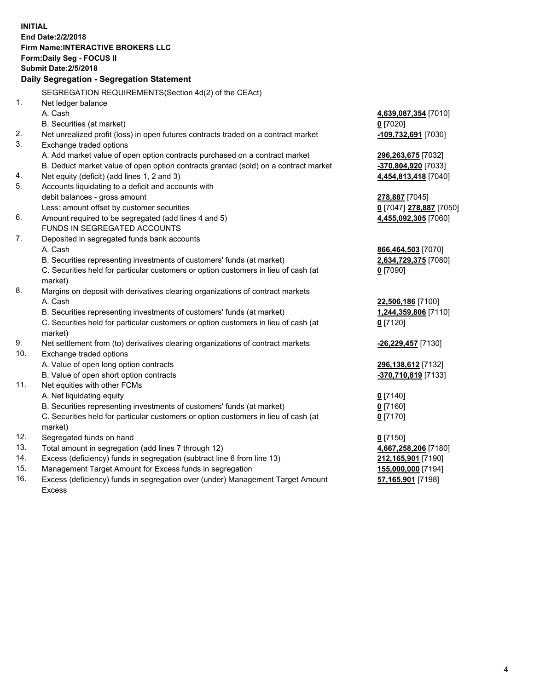**INITIAL End Date:2/2/2018 Firm Name:INTERACTIVE BROKERS LLC Form:Daily Seg - FOCUS II Submit Date:2/5/2018 Daily Segregation - Segregation Statement** SEGREGATION REQUIREMENTS(Section 4d(2) of the CEAct) 1. Net ledger balance A. Cash **4,639,087,354** [7010] B. Securities (at market) **0** [7020] 2. Net unrealized profit (loss) in open futures contracts traded on a contract market **-109,732,691** [7030] 3. Exchange traded options A. Add market value of open option contracts purchased on a contract market **296,263,675** [7032] B. Deduct market value of open option contracts granted (sold) on a contract market **-370,804,920** [7033] 4. Net equity (deficit) (add lines 1, 2 and 3) **4,454,813,418** [7040] 5. Accounts liquidating to a deficit and accounts with debit balances - gross amount **278,887** [7045] Less: amount offset by customer securities **0** [7047] **278,887** [7050] 6. Amount required to be segregated (add lines 4 and 5) **4,455,092,305** [7060] FUNDS IN SEGREGATED ACCOUNTS 7. Deposited in segregated funds bank accounts A. Cash **866,464,503** [7070] B. Securities representing investments of customers' funds (at market) **2,634,729,375** [7080] C. Securities held for particular customers or option customers in lieu of cash (at market) **0** [7090] 8. Margins on deposit with derivatives clearing organizations of contract markets A. Cash **22,506,186** [7100] B. Securities representing investments of customers' funds (at market) **1,244,359,806** [7110] C. Securities held for particular customers or option customers in lieu of cash (at market) **0** [7120] 9. Net settlement from (to) derivatives clearing organizations of contract markets **-26,229,457** [7130] 10. Exchange traded options A. Value of open long option contracts **296,138,612** [7132] B. Value of open short option contracts **-370,710,819** [7133] 11. Net equities with other FCMs A. Net liquidating equity **0** [7140] B. Securities representing investments of customers' funds (at market) **0** [7160] C. Securities held for particular customers or option customers in lieu of cash (at market) **0** [7170] 12. Segregated funds on hand **0** [7150] 13. Total amount in segregation (add lines 7 through 12) **4,667,258,206** [7180] 14. Excess (deficiency) funds in segregation (subtract line 6 from line 13) **212,165,901** [7190] 15. Management Target Amount for Excess funds in segregation **155,000,000** [7194] **57,165,901** [7198]

16. Excess (deficiency) funds in segregation over (under) Management Target Amount Excess